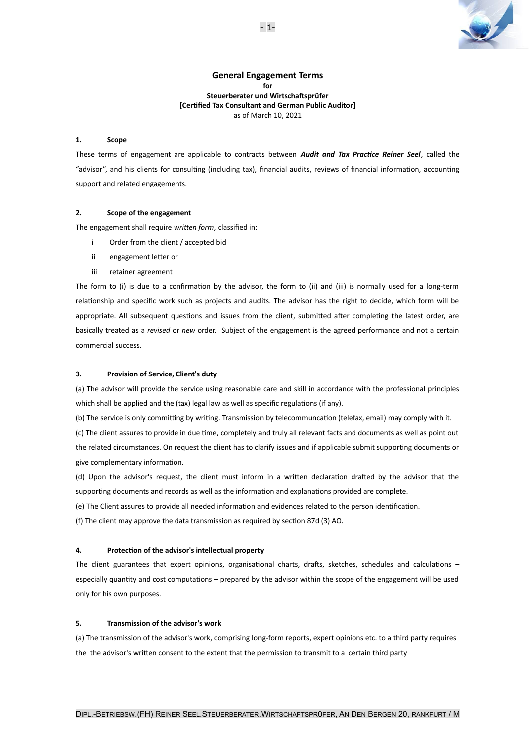

# **General Engagement Terms for Steuerberater und Wirtschaftsprüfer [Certified Tax Consultant and German Public Auditor]** as of March 10, 2021

# **1. Scope**

These terms of engagement are applicable to contracts between *Audit and Tax Practice Reiner Seel*, called the "advisor", and his clients for consulting (including tax), financial audits, reviews of financial information, accounting support and related engagements.

# **2. Scope of the engagement**

The engagement shall require *written form*, classified in:

- i Order from the client / accepted bid
- ii engagement letter or
- iii retainer agreement

The form to (i) is due to a confirmation by the advisor, the form to (ii) and (iii) is normally used for a long-term relationship and specific work such as projects and audits. The advisor has the right to decide, which form will be appropriate. All subsequent questions and issues from the client, submitted after completing the latest order, are basically treated as a *revised* or *new* order. Subject of the engagement is the agreed performance and not a certain commercial success.

# **3. Provision of Service, Client's duty**

(a) The advisor will provide the service using reasonable care and skill in accordance with the professional principles which shall be applied and the (tax) legal law as well as specific regulations (if any).

(b) The service is only committing by writing. Transmission by telecommuncation (telefax, email) may comply with it. (c) The client assures to provide in due time, completely and truly all relevant facts and documents as well as point out the related circumstances. On request the client has to clarify issues and if applicable submit supporting documents or give complementary information.

(d) Upon the advisor's request, the client must inform in a written declaration drafted by the advisor that the supporting documents and records as well as the information and explanations provided are complete.

(e) The Client assures to provide all needed information and evidences related to the person identification.

(f) The client may approve the data transmission as required by section 87d (3) AO.

### **4. Protection of the advisor's intellectual property**

The client guarantees that expert opinions, organisational charts, drafts, sketches, schedules and calculations – especially quantity and cost computations – prepared by the advisor within the scope of the engagement will be used only for his own purposes.

### **5. Transmission of the advisor's work**

(a) The transmission of the advisor's work, comprising long-form reports, expert opinions etc. to a third party requires the the advisor's written consent to the extent that the permission to transmit to a certain third party

- 1-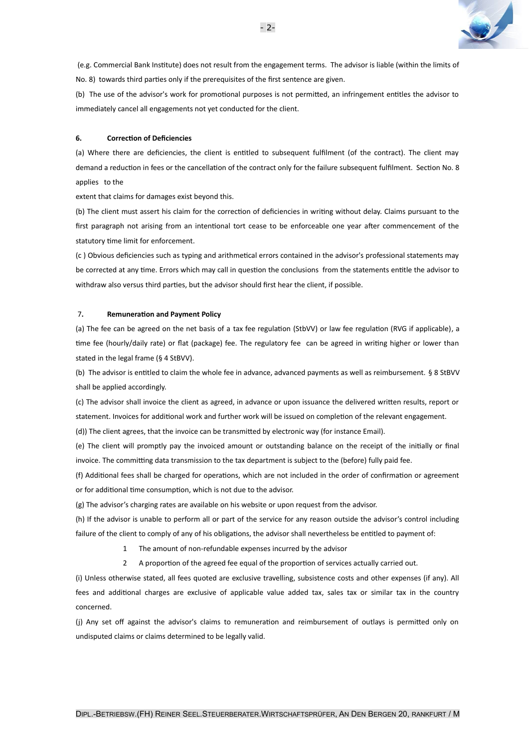

 (e.g. Commercial Bank Institute) does not result from the engagement terms. The advisor is liable (within the limits of No. 8) towards third parties only if the prerequisites of the first sentence are given.

(b) The use of the advisor's work for promotional purposes is not permitted, an infringement entitles the advisor to immediately cancel all engagements not yet conducted for the client.

#### **6. Correction of Deficiencies**

(a) Where there are deficiencies, the client is entitled to subsequent fulfilment (of the contract). The client may demand a reduction in fees or the cancellation of the contract only for the failure subsequent fulfilment. Section No. 8 applies to the

extent that claims for damages exist beyond this.

(b) The client must assert his claim for the correction of deficiencies in writing without delay. Claims pursuant to the first paragraph not arising from an intentional tort cease to be enforceable one year after commencement of the statutory time limit for enforcement.

(c ) Obvious deficiencies such as typing and arithmetical errors contained in the advisor's professional statements may be corrected at any time. Errors which may call in question the conclusions from the statements entitle the advisor to withdraw also versus third parties, but the advisor should first hear the client, if possible.

#### 7**. Remuneration and Payment Policy**

(a) The fee can be agreed on the net basis of a tax fee regulation (StbVV) or law fee regulation (RVG if applicable), a time fee (hourly/daily rate) or flat (package) fee. The regulatory fee can be agreed in writing higher or lower than stated in the legal frame (§ 4 StBVV).

(b) The advisor is entitled to claim the whole fee in advance, advanced payments as well as reimbursement. § 8 StBVV shall be applied accordingly.

(c) The advisor shall invoice the client as agreed, in advance or upon issuance the delivered written results, report or statement. Invoices for additional work and further work will be issued on completion of the relevant engagement.

(d)) The client agrees, that the invoice can be transmitted by electronic way (for instance Email).

(e) The client will promptly pay the invoiced amount or outstanding balance on the receipt of the initially or final invoice. The committing data transmission to the tax department is subject to the (before) fully paid fee.

(f) Additional fees shall be charged for operations, which are not included in the order of confirmation or agreement or for additional time consumption, which is not due to the advisor.

(g) The advisor's charging rates are available on his website or upon request from the advisor.

(h) If the advisor is unable to perform all or part of the service for any reason outside the advisor's control including failure of the client to comply of any of his obligations, the advisor shall nevertheless be entitled to payment of:

1 The amount of non-refundable expenses incurred by the advisor

2 A proportion of the agreed fee equal of the proportion of services actually carried out.

(i) Unless otherwise stated, all fees quoted are exclusive travelling, subsistence costs and other expenses (if any). All fees and additional charges are exclusive of applicable value added tax, sales tax or similar tax in the country concerned.

(j) Any set off against the advisor's claims to remuneration and reimbursement of outlays is permitted only on undisputed claims or claims determined to be legally valid.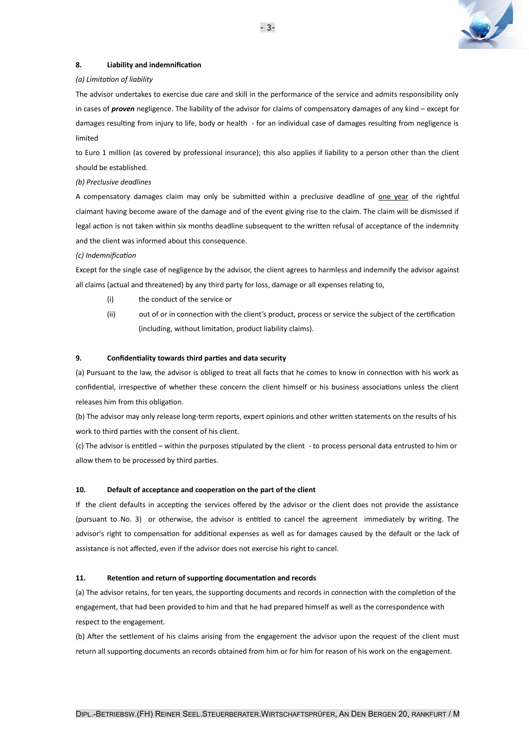

### **8. Liability and indemnification**

### *(a) Limitation of liability*

The advisor undertakes to exercise due care and skill in the performance of the service and admits responsibility only in cases of *proven* negligence. The liability of the advisor for claims of compensatory damages of any kind – except for damages resulting from injury to life, body or health - for an individual case of damages resulting from negligence is limited

to Euro 1 million (as covered by professional insurance); this also applies if liability to a person other than the client should be established.

#### *(b) Preclusive deadlines*

A compensatory damages claim may only be submitted within a preclusive deadline of one year of the rightful claimant having become aware of the damage and of the event giving rise to the claim. The claim will be dismissed if legal action is not taken within six months deadline subsequent to the written refusal of acceptance of the indemnity and the client was informed about this consequence.

#### *(c) Indemnification*

Except for the single case of negligence by the advisor, the client agrees to harmless and indemnify the advisor against all claims (actual and threatened) by any third party for loss, damage or all expenses relating to,

(i) the conduct of the service or

(ii) out of or in connection with the client's product, process or service the subject of the certification (including, without limitation, product liability claims).

### **9. Confidentiality towards third parties and data security**

(a) Pursuant to the law, the advisor is obliged to treat all facts that he comes to know in connection with his work as confidential, irrespective of whether these concern the client himself or his business associations unless the client releases him from this obligation.

(b) The advisor may only release long-term reports, expert opinions and other written statements on the results of his work to third parties with the consent of his client.

(c) The advisor is entitled – within the purposes stipulated by the client - to process personal data entrusted to him or allow them to be processed by third parties.

### **10. Default of acceptance and cooperation on the part of the client**

If the client defaults in accepting the services offered by the advisor or the client does not provide the assistance (pursuant to No. 3) or otherwise, the advisor is entitled to cancel the agreement immediately by writing. The advisor's right to compensation for additional expenses as well as for damages caused by the default or the lack of assistance is not affected, even if the advisor does not exercise his right to cancel.

### **11. Retention and return of supporting documentation and records**

(a) The advisor retains, for ten years, the supporting documents and records in connection with the completion of the engagement, that had been provided to him and that he had prepared himself as well as the correspondence with respect to the engagement.

(b) After the settlement of his claims arising from the engagement the advisor upon the request of the client must return all supporting documents an records obtained from him or for him for reason of his work on the engagement.